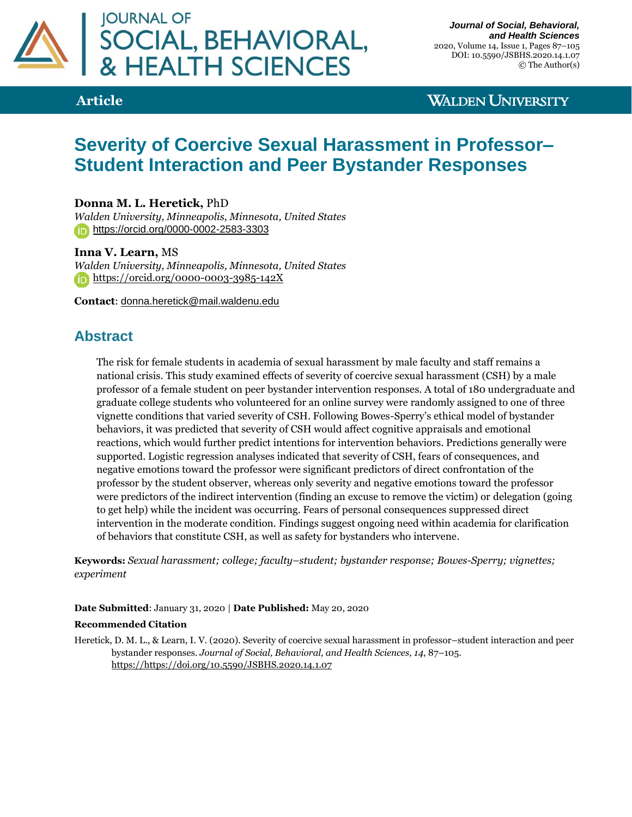

# **Article**

# **WALDEN UNIVERSITY**

# **Severity of Coercive Sexual Harassment in Professor– Student Interaction and Peer Bystander Responses**

## **Donna M. L. Heretick,** PhD

*Walden University, Minneapolis, Minnesota, United States* <https://orcid.org/0000-0002-2583-3303>

### **Inna V. Learn,** MS

*Walden University, Minneapolis, Minnesota, United States* [https://orcid.org/0000-0003-3985-142X](https://secure-web.cisco.com/1MFfOXMffIjvFDlmHxHCyO-jOVdFHJqV4VoJVP01T2TJ809qPSNqGYZ5vdhQ5_sgydm_utuPAQfKhGsnmw5oUMO1SS6Dmg7HCbC3hRPEpvqHiVqnCmCti-1-WBFrX8T6JJWxdco-UXCudVe7kXXoc05u32TTmMoSLbLdg4K_SHQrcn40Qlf5Thvg_vpSI4v4S4V094rbuiLacxtxEdRApRKc81PpiImtUFpFq5CnEwhsyjGdGobW5KujBQd08oKaZBhyMQKvWMEuIlToBI3TZhjx54S0sRCI6Z0ngSlp7f_ZyJTWrgpoOhEfTkb5OFnQ8EinkodAJDFXbjz1U48yJlw/https%3A%2F%2Forcid.org%2F0000-0003-3985-142X)

**Contact**: [donna.heretick@mail.waldenu.edu](mailto:donna.heretick@mail.waldenu.edu)

# **Abstract**

The risk for female students in academia of sexual harassment by male faculty and staff remains a national crisis. This study examined effects of severity of coercive sexual harassment (CSH) by a male professor of a female student on peer bystander intervention responses. A total of 180 undergraduate and graduate college students who volunteered for an online survey were randomly assigned to one of three vignette conditions that varied severity of CSH. Following Bowes-Sperry's ethical model of bystander behaviors, it was predicted that severity of CSH would affect cognitive appraisals and emotional reactions, which would further predict intentions for intervention behaviors. Predictions generally were supported. Logistic regression analyses indicated that severity of CSH, fears of consequences, and negative emotions toward the professor were significant predictors of direct confrontation of the professor by the student observer, whereas only severity and negative emotions toward the professor were predictors of the indirect intervention (finding an excuse to remove the victim) or delegation (going to get help) while the incident was occurring. Fears of personal consequences suppressed direct intervention in the moderate condition. Findings suggest ongoing need within academia for clarification of behaviors that constitute CSH, as well as safety for bystanders who intervene.

**Keywords:** *Sexual harassment; college; faculty–student; bystander response; Bowes-Sperry; vignettes; experiment*

#### **Date Submitted**: January 31, 2020 | **Date Published:** May 20, 2020

#### **Recommended Citation**

Heretick, D. M. L., & Learn, I. V. (2020). Severity of coercive sexual harassment in professor–student interaction and peer bystander responses. *Journal of Social, Behavioral, and Health Sciences, 14*, 87–105. [https://https://doi.org/10.5590/JSBHS.2020.14.1.07](https://https/doi.org/10.5590/JSBHS.2020.14.1.07)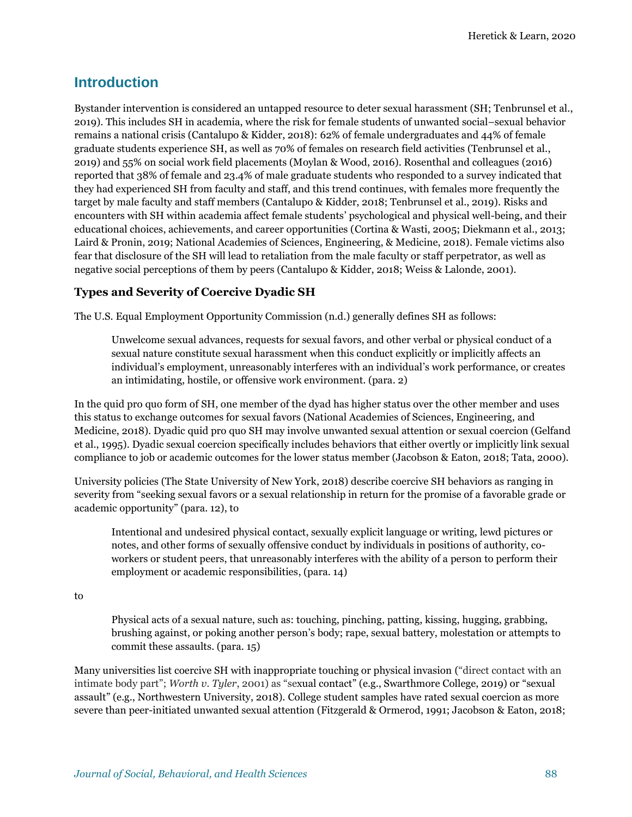# **Introduction**

Bystander intervention is considered an untapped resource to deter sexual harassment (SH; Tenbrunsel et al., 2019). This includes SH in academia, where the risk for female students of unwanted social–sexual behavior remains a national crisis (Cantalupo & Kidder, 2018): 62% of female undergraduates and 44% of female graduate students experience SH, as well as 70% of females on research field activities (Tenbrunsel et al., 2019) and 55% on social work field placements (Moylan & Wood, 2016). Rosenthal and colleagues (2016) reported that 38% of female and 23.4% of male graduate students who responded to a survey indicated that they had experienced SH from faculty and staff, and this trend continues, with females more frequently the target by male faculty and staff members (Cantalupo & Kidder, 2018; Tenbrunsel et al., 2019). Risks and encounters with SH within academia affect female students' psychological and physical well-being, and their educational choices, achievements, and career opportunities (Cortina & Wasti, 2005; Diekmann et al., 2013; Laird & Pronin, 2019; National Academies of Sciences, Engineering, & Medicine, 2018). Female victims also fear that disclosure of the SH will lead to retaliation from the male faculty or staff perpetrator, as well as negative social perceptions of them by peers (Cantalupo & Kidder, 2018; Weiss & Lalonde, 2001).

### **Types and Severity of Coercive Dyadic SH**

The U.S. Equal Employment Opportunity Commission (n.d.) generally defines SH as follows:

Unwelcome sexual advances, requests for sexual favors, and other verbal or physical conduct of a sexual nature constitute sexual harassment when this conduct explicitly or implicitly affects an individual's employment, unreasonably interferes with an individual's work performance, or creates an intimidating, hostile, or offensive work environment. (para. 2)

In the quid pro quo form of SH, one member of the dyad has higher status over the other member and uses this status to exchange outcomes for sexual favors (National Academies of Sciences, Engineering, and Medicine, 2018). Dyadic quid pro quo SH may involve unwanted sexual attention or sexual coercion (Gelfand et al., 1995). Dyadic sexual coercion specifically includes behaviors that either overtly or implicitly link sexual compliance to job or academic outcomes for the lower status member (Jacobson & Eaton, 2018; Tata, 2000).

University policies (The State University of New York, 2018) describe coercive SH behaviors as ranging in severity from "seeking sexual favors or a sexual relationship in return for the promise of a favorable grade or academic opportunity" (para. 12), to

Intentional and undesired physical contact, sexually explicit language or writing, lewd pictures or notes, and other forms of sexually offensive conduct by individuals in positions of authority, coworkers or student peers, that unreasonably interferes with the ability of a person to perform their employment or academic responsibilities, (para. 14)

to

Physical acts of a sexual nature, such as: touching, pinching, patting, kissing, hugging, grabbing, brushing against, or poking another person's body; rape, sexual battery, molestation or attempts to commit these assaults. (para. 15)

Many universities list coercive SH with inappropriate touching or physical invasion ("direct contact with an intimate body part"; *Worth v. Tyler*, 2001) as "sexual contact" (e.g., Swarthmore College, 2019) or "sexual assault" (e.g., Northwestern University, 2018). College student samples have rated sexual coercion as more severe than peer-initiated unwanted sexual attention (Fitzgerald & Ormerod, 1991; Jacobson & Eaton, 2018;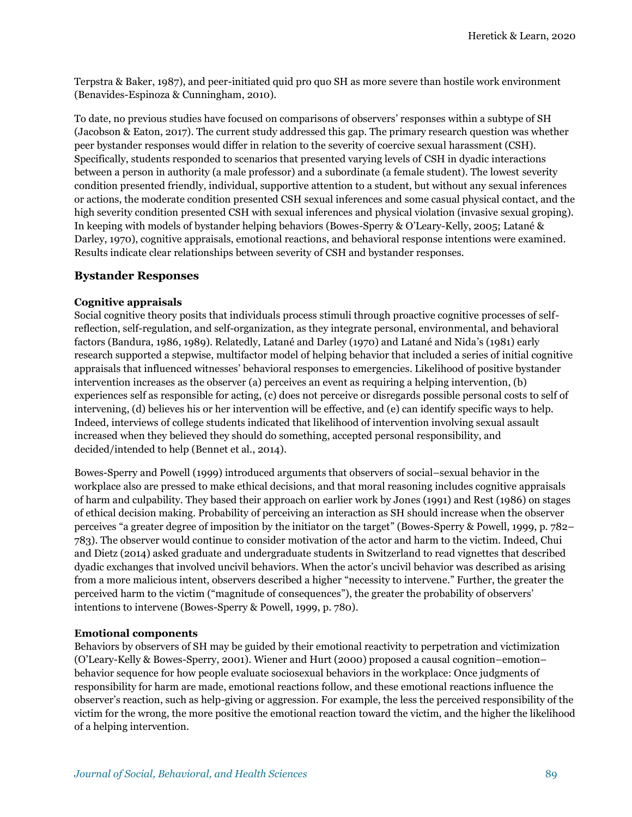Terpstra & Baker, 1987), and peer-initiated quid pro quo SH as more severe than hostile work environment (Benavides-Espinoza & Cunningham, 2010).

To date, no previous studies have focused on comparisons of observers' responses within a subtype of SH (Jacobson & Eaton, 2017). The current study addressed this gap. The primary research question was whether peer bystander responses would differ in relation to the severity of coercive sexual harassment (CSH). Specifically, students responded to scenarios that presented varying levels of CSH in dyadic interactions between a person in authority (a male professor) and a subordinate (a female student). The lowest severity condition presented friendly, individual, supportive attention to a student, but without any sexual inferences or actions, the moderate condition presented CSH sexual inferences and some casual physical contact, and the high severity condition presented CSH with sexual inferences and physical violation (invasive sexual groping). In keeping with models of bystander helping behaviors (Bowes-Sperry & O'Leary-Kelly, 2005; Latané & Darley, 1970), cognitive appraisals, emotional reactions, and behavioral response intentions were examined. Results indicate clear relationships between severity of CSH and bystander responses.

#### **Bystander Responses**

#### **Cognitive appraisals**

Social cognitive theory posits that individuals process stimuli through proactive cognitive processes of selfreflection, self-regulation, and self-organization, as they integrate personal, environmental, and behavioral factors (Bandura, 1986, 1989). Relatedly, Latané and Darley (1970) and Latané and Nida's (1981) early research supported a stepwise, multifactor model of helping behavior that included a series of initial cognitive appraisals that influenced witnesses' behavioral responses to emergencies. Likelihood of positive bystander intervention increases as the observer (a) perceives an event as requiring a helping intervention, (b) experiences self as responsible for acting, (c) does not perceive or disregards possible personal costs to self of intervening, (d) believes his or her intervention will be effective, and (e) can identify specific ways to help. Indeed, interviews of college students indicated that likelihood of intervention involving sexual assault increased when they believed they should do something, accepted personal responsibility, and decided/intended to help (Bennet et al., 2014).

Bowes-Sperry and Powell (1999) introduced arguments that observers of social–sexual behavior in the workplace also are pressed to make ethical decisions, and that moral reasoning includes cognitive appraisals of harm and culpability. They based their approach on earlier work by Jones (1991) and Rest (1986) on stages of ethical decision making. Probability of perceiving an interaction as SH should increase when the observer perceives "a greater degree of imposition by the initiator on the target" (Bowes-Sperry & Powell, 1999, p. 782– 783). The observer would continue to consider motivation of the actor and harm to the victim. Indeed, Chui and Dietz (2014) asked graduate and undergraduate students in Switzerland to read vignettes that described dyadic exchanges that involved uncivil behaviors. When the actor's uncivil behavior was described as arising from a more malicious intent, observers described a higher "necessity to intervene." Further, the greater the perceived harm to the victim ("magnitude of consequences"), the greater the probability of observers' intentions to intervene (Bowes-Sperry & Powell, 1999, p. 780).

#### **Emotional components**

Behaviors by observers of SH may be guided by their emotional reactivity to perpetration and victimization (O'Leary-Kelly & Bowes-Sperry, 2001). Wiener and Hurt (2000) proposed a causal cognition–emotion– behavior sequence for how people evaluate sociosexual behaviors in the workplace: Once judgments of responsibility for harm are made, emotional reactions follow, and these emotional reactions influence the observer's reaction, such as help-giving or aggression. For example, the less the perceived responsibility of the victim for the wrong, the more positive the emotional reaction toward the victim, and the higher the likelihood of a helping intervention.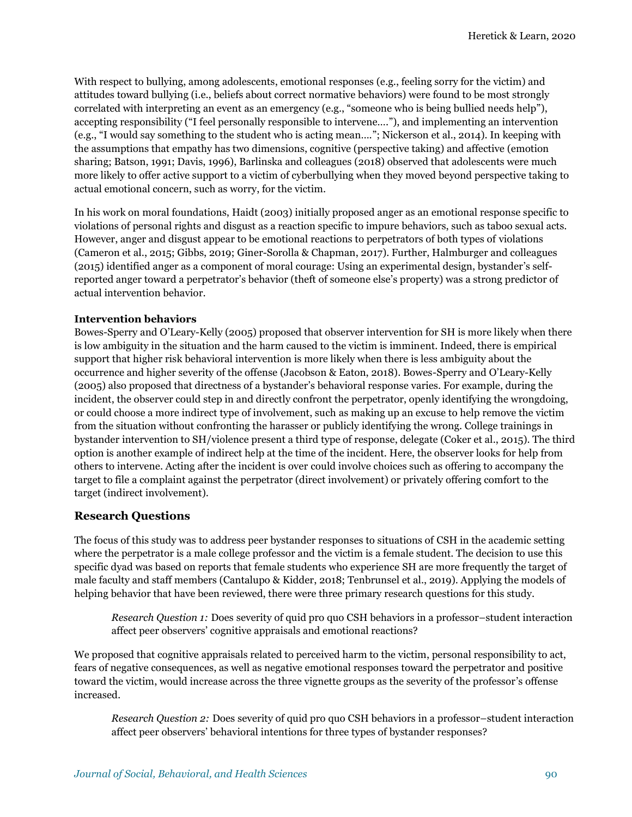With respect to bullying, among adolescents, emotional responses (e.g., feeling sorry for the victim) and attitudes toward bullying (i.e., beliefs about correct normative behaviors) were found to be most strongly correlated with interpreting an event as an emergency (e.g., "someone who is being bullied needs help"), accepting responsibility ("I feel personally responsible to intervene…."), and implementing an intervention (e.g., "I would say something to the student who is acting mean…."; Nickerson et al., 2014). In keeping with the assumptions that empathy has two dimensions, cognitive (perspective taking) and affective (emotion sharing; Batson, 1991; Davis, 1996), Barlinska and colleagues (2018) observed that adolescents were much more likely to offer active support to a victim of cyberbullying when they moved beyond perspective taking to actual emotional concern, such as worry, for the victim.

In his work on moral foundations, Haidt (2003) initially proposed anger as an emotional response specific to violations of personal rights and disgust as a reaction specific to impure behaviors, such as taboo sexual acts. However, anger and disgust appear to be emotional reactions to perpetrators of both types of violations (Cameron et al., 2015; Gibbs, 2019; Giner-Sorolla & Chapman, 2017). Further, Halmburger and colleagues (2015) identified anger as a component of moral courage: Using an experimental design, bystander's selfreported anger toward a perpetrator's behavior (theft of someone else's property) was a strong predictor of actual intervention behavior.

#### **Intervention behaviors**

Bowes-Sperry and O'Leary-Kelly (2005) proposed that observer intervention for SH is more likely when there is low ambiguity in the situation and the harm caused to the victim is imminent. Indeed, there is empirical support that higher risk behavioral intervention is more likely when there is less ambiguity about the occurrence and higher severity of the offense (Jacobson & Eaton, 2018). Bowes-Sperry and O'Leary-Kelly (2005) also proposed that directness of a bystander's behavioral response varies. For example, during the incident, the observer could step in and directly confront the perpetrator, openly identifying the wrongdoing, or could choose a more indirect type of involvement, such as making up an excuse to help remove the victim from the situation without confronting the harasser or publicly identifying the wrong. College trainings in bystander intervention to SH/violence present a third type of response, delegate (Coker et al., 2015). The third option is another example of indirect help at the time of the incident. Here, the observer looks for help from others to intervene. Acting after the incident is over could involve choices such as offering to accompany the target to file a complaint against the perpetrator (direct involvement) or privately offering comfort to the target (indirect involvement).

#### **Research Questions**

The focus of this study was to address peer bystander responses to situations of CSH in the academic setting where the perpetrator is a male college professor and the victim is a female student. The decision to use this specific dyad was based on reports that female students who experience SH are more frequently the target of male faculty and staff members (Cantalupo & Kidder, 2018; Tenbrunsel et al., 2019). Applying the models of helping behavior that have been reviewed, there were three primary research questions for this study.

*Research Question 1:* Does severity of quid pro quo CSH behaviors in a professor–student interaction affect peer observers' cognitive appraisals and emotional reactions?

We proposed that cognitive appraisals related to perceived harm to the victim, personal responsibility to act, fears of negative consequences, as well as negative emotional responses toward the perpetrator and positive toward the victim, would increase across the three vignette groups as the severity of the professor's offense increased*.*

*Research Question 2:* Does severity of quid pro quo CSH behaviors in a professor–student interaction affect peer observers' behavioral intentions for three types of bystander responses?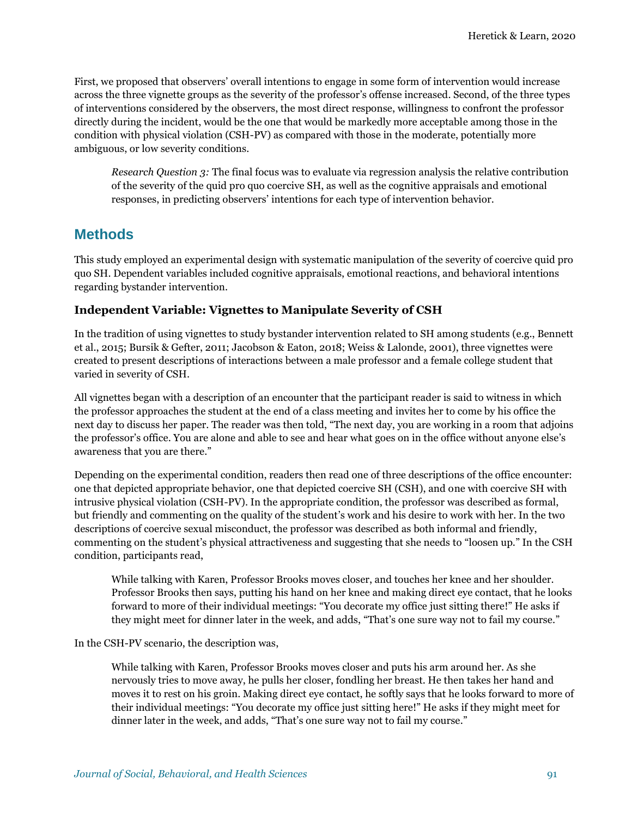First, we proposed that observers' overall intentions to engage in some form of intervention would increase across the three vignette groups as the severity of the professor's offense increased. Second, of the three types of interventions considered by the observers, the most direct response, willingness to confront the professor directly during the incident, would be the one that would be markedly more acceptable among those in the condition with physical violation (CSH-PV) as compared with those in the moderate, potentially more ambiguous, or low severity conditions.

*Research Question 3:* The final focus was to evaluate via regression analysis the relative contribution of the severity of the quid pro quo coercive SH, as well as the cognitive appraisals and emotional responses, in predicting observers' intentions for each type of intervention behavior.

# **Methods**

This study employed an experimental design with systematic manipulation of the severity of coercive quid pro quo SH. Dependent variables included cognitive appraisals, emotional reactions, and behavioral intentions regarding bystander intervention.

### **Independent Variable: Vignettes to Manipulate Severity of CSH**

In the tradition of using vignettes to study bystander intervention related to SH among students (e.g., Bennett et al., 2015; Bursik & Gefter, 2011; Jacobson & Eaton, 2018; Weiss & Lalonde, 2001), three vignettes were created to present descriptions of interactions between a male professor and a female college student that varied in severity of CSH.

All vignettes began with a description of an encounter that the participant reader is said to witness in which the professor approaches the student at the end of a class meeting and invites her to come by his office the next day to discuss her paper. The reader was then told, "The next day, you are working in a room that adjoins the professor's office. You are alone and able to see and hear what goes on in the office without anyone else's awareness that you are there."

Depending on the experimental condition, readers then read one of three descriptions of the office encounter: one that depicted appropriate behavior, one that depicted coercive SH (CSH), and one with coercive SH with intrusive physical violation (CSH-PV). In the appropriate condition, the professor was described as formal, but friendly and commenting on the quality of the student's work and his desire to work with her. In the two descriptions of coercive sexual misconduct, the professor was described as both informal and friendly, commenting on the student's physical attractiveness and suggesting that she needs to "loosen up." In the CSH condition, participants read,

While talking with Karen, Professor Brooks moves closer, and touches her knee and her shoulder. Professor Brooks then says, putting his hand on her knee and making direct eye contact, that he looks forward to more of their individual meetings: "You decorate my office just sitting there!" He asks if they might meet for dinner later in the week, and adds, "That's one sure way not to fail my course."

In the CSH-PV scenario, the description was,

While talking with Karen, Professor Brooks moves closer and puts his arm around her. As she nervously tries to move away, he pulls her closer, fondling her breast. He then takes her hand and moves it to rest on his groin. Making direct eye contact, he softly says that he looks forward to more of their individual meetings: "You decorate my office just sitting here!" He asks if they might meet for dinner later in the week, and adds, "That's one sure way not to fail my course."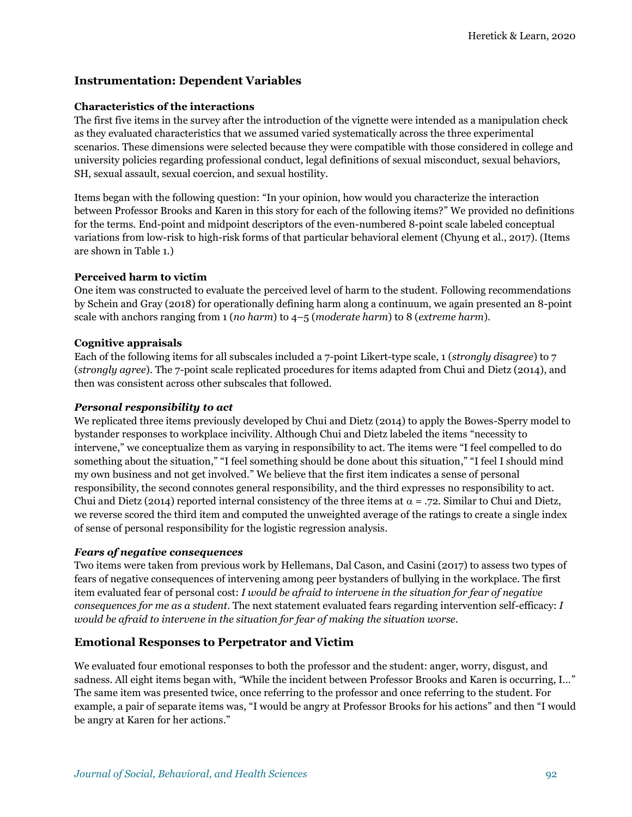## **Instrumentation: Dependent Variables**

#### **Characteristics of the interactions**

The first five items in the survey after the introduction of the vignette were intended as a manipulation check as they evaluated characteristics that we assumed varied systematically across the three experimental scenarios. These dimensions were selected because they were compatible with those considered in college and university policies regarding professional conduct, legal definitions of sexual misconduct, sexual behaviors, SH, sexual assault, sexual coercion, and sexual hostility.

Items began with the following question: "In your opinion, how would you characterize the interaction between Professor Brooks and Karen in this story for each of the following items?" We provided no definitions for the terms. End-point and midpoint descriptors of the even-numbered 8-point scale labeled conceptual variations from low-risk to high-risk forms of that particular behavioral element (Chyung et al., 2017). (Items are shown in Table 1.)

### **Perceived harm to victim**

One item was constructed to evaluate the perceived level of harm to the student. Following recommendations by Schein and Gray (2018) for operationally defining harm along a continuum, we again presented an 8-point scale with anchors ranging from 1 (*no harm*) to 4–5 (*moderate harm*) to 8 (*extreme harm*).

### **Cognitive appraisals**

Each of the following items for all subscales included a 7-point Likert-type scale, 1 (*strongly disagree*) to 7 (*strongly agree*). The 7-point scale replicated procedures for items adapted from Chui and Dietz (2014), and then was consistent across other subscales that followed.

#### *Personal responsibility to act*

We replicated three items previously developed by Chui and Dietz (2014) to apply the Bowes-Sperry model to bystander responses to workplace incivility. Although Chui and Dietz labeled the items "necessity to intervene," we conceptualize them as varying in responsibility to act. The items were "I feel compelled to do something about the situation," "I feel something should be done about this situation," "I feel I should mind my own business and not get involved." We believe that the first item indicates a sense of personal responsibility, the second connotes general responsibility, and the third expresses no responsibility to act. Chui and Dietz (2014) reported internal consistency of the three items at  $\alpha = .72$ . Similar to Chui and Dietz, we reverse scored the third item and computed the unweighted average of the ratings to create a single index of sense of personal responsibility for the logistic regression analysis.

#### *Fears of negative consequences*

Two items were taken from previous work by Hellemans, Dal Cason, and Casini (2017) to assess two types of fears of negative consequences of intervening among peer bystanders of bullying in the workplace. The first item evaluated fear of personal cost: *I would be afraid to intervene in the situation for fear of negative consequences for me as a student*. The next statement evaluated fears regarding intervention self-efficacy: *I would be afraid to intervene in the situation for fear of making the situation worse.*

### **Emotional Responses to Perpetrator and Victim**

We evaluated four emotional responses to both the professor and the student: anger, worry, disgust, and sadness. All eight items began with*, "*While the incident between Professor Brooks and Karen is occurring, I…" The same item was presented twice, once referring to the professor and once referring to the student. For example, a pair of separate items was, "I would be angry at Professor Brooks for his actions" and then "I would be angry at Karen for her actions."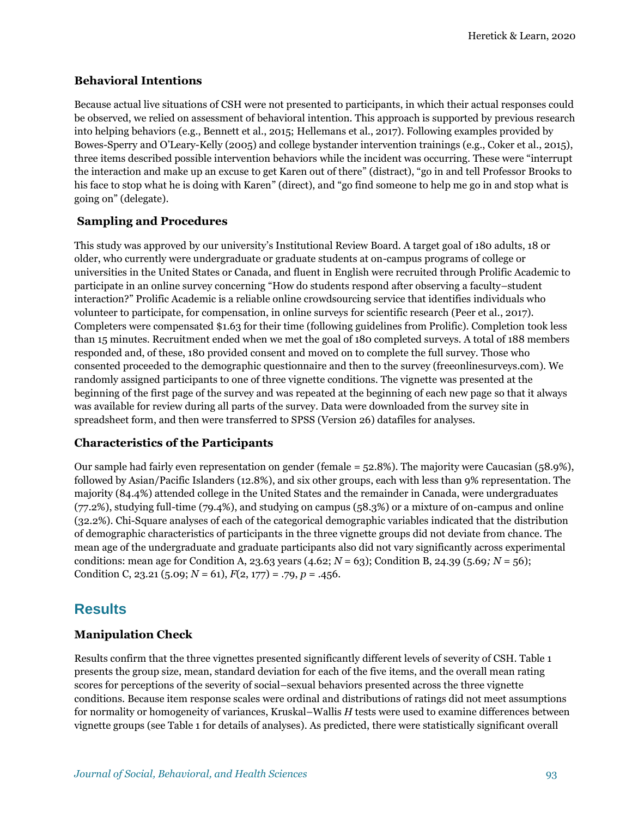#### **Behavioral Intentions**

Because actual live situations of CSH were not presented to participants, in which their actual responses could be observed, we relied on assessment of behavioral intention. This approach is supported by previous research into helping behaviors (e.g., Bennett et al., 2015; Hellemans et al., 2017). Following examples provided by Bowes-Sperry and O'Leary-Kelly (2005) and college bystander intervention trainings (e.g., Coker et al., 2015), three items described possible intervention behaviors while the incident was occurring. These were "interrupt the interaction and make up an excuse to get Karen out of there" (distract), "go in and tell Professor Brooks to his face to stop what he is doing with Karen" (direct), and "go find someone to help me go in and stop what is going on" (delegate).

### **Sampling and Procedures**

This study was approved by our university's Institutional Review Board. A target goal of 180 adults, 18 or older, who currently were undergraduate or graduate students at on-campus programs of college or universities in the United States or Canada, and fluent in English were recruited through Prolific Academic to participate in an online survey concerning "How do students respond after observing a faculty–student interaction?" Prolific Academic is a reliable online crowdsourcing service that identifies individuals who volunteer to participate, for compensation, in online surveys for scientific research (Peer et al., 2017). Completers were compensated \$1.63 for their time (following guidelines from Prolific). Completion took less than 15 minutes. Recruitment ended when we met the goal of 180 completed surveys. A total of 188 members responded and, of these, 180 provided consent and moved on to complete the full survey. Those who consented proceeded to the demographic questionnaire and then to the survey (freeonlinesurveys.com). We randomly assigned participants to one of three vignette conditions. The vignette was presented at the beginning of the first page of the survey and was repeated at the beginning of each new page so that it always was available for review during all parts of the survey. Data were downloaded from the survey site in spreadsheet form, and then were transferred to SPSS (Version 26) datafiles for analyses.

### **Characteristics of the Participants**

Our sample had fairly even representation on gender (female = 52.8%). The majority were Caucasian (58.9%), followed by Asian/Pacific Islanders (12.8%), and six other groups, each with less than 9% representation. The majority (84.4%) attended college in the United States and the remainder in Canada, were undergraduates (77.2%), studying full-time (79.4%), and studying on campus (58.3%) or a mixture of on-campus and online (32.2%). Chi-Square analyses of each of the categorical demographic variables indicated that the distribution of demographic characteristics of participants in the three vignette groups did not deviate from chance. The mean age of the undergraduate and graduate participants also did not vary significantly across experimental conditions: mean age for Condition A, 23.63 years (4.62; *N* = 63); Condition B, 24.39 (5.69*; N* = 56); Condition C, 23.21 (5.09;  $N = 61$ ),  $F(2, 177) = .79$ ,  $p = .456$ .

# **Results**

### **Manipulation Check**

Results confirm that the three vignettes presented significantly different levels of severity of CSH. Table 1 presents the group size, mean, standard deviation for each of the five items, and the overall mean rating scores for perceptions of the severity of social–sexual behaviors presented across the three vignette conditions. Because item response scales were ordinal and distributions of ratings did not meet assumptions for normality or homogeneity of variances, Kruskal–Wallis *H* tests were used to examine differences between vignette groups (see Table 1 for details of analyses). As predicted, there were statistically significant overall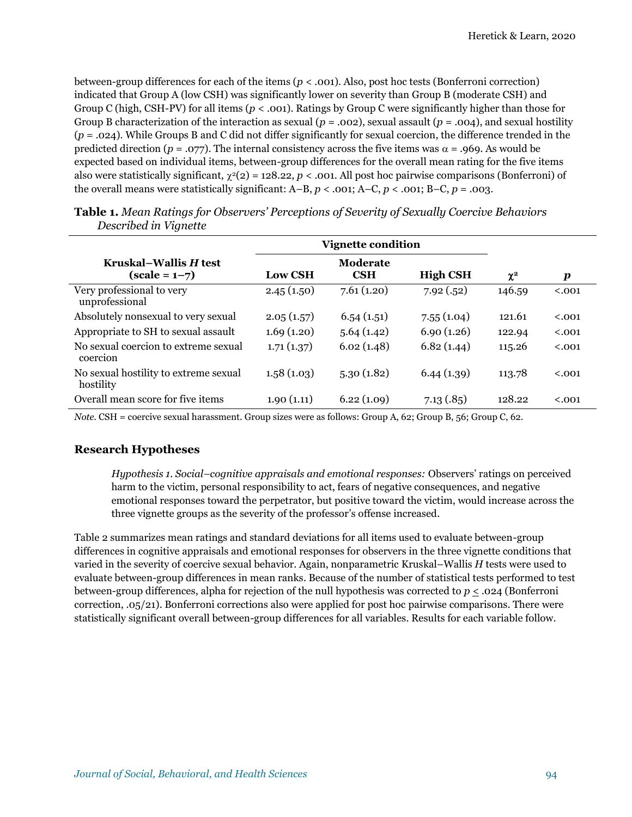between-group differences for each of the items (*p* < .001). Also, post hoc tests (Bonferroni correction) indicated that Group A (low CSH) was significantly lower on severity than Group B (moderate CSH) and Group C (high, CSH-PV) for all items (*p* < .001). Ratings by Group C were significantly higher than those for Group B characterization of the interaction as sexual  $(p = .002)$ , sexual assault  $(p = .004)$ , and sexual hostility (*p* = .024). While Groups B and C did not differ significantly for sexual coercion, the difference trended in the predicted direction ( $p = .077$ ). The internal consistency across the five items was  $\alpha = .969$ . As would be expected based on individual items, between-group differences for the overall mean rating for the five items also were statistically significant,  $\chi^2(2) = 128.22$ ,  $p < .001$ . All post hoc pairwise comparisons (Bonferroni) of the overall means were statistically significant:  $A-B$ ,  $p < .001$ ;  $A-C$ ,  $p < .001$ ;  $B-C$ ,  $p = .003$ .

|                                                    | <b>Vignette condition</b> |                        |                 |          |                  |
|----------------------------------------------------|---------------------------|------------------------|-----------------|----------|------------------|
| Kruskal–Wallis H test<br>$(scale = 1-7)$           | <b>Low CSH</b>            | Moderate<br><b>CSH</b> | <b>High CSH</b> | $\chi^2$ | $\boldsymbol{p}$ |
| Very professional to very<br>unprofessional        | 2.45(1.50)                | 7.61(1.20)             | 7.92(.52)       | 146.59   | < .001           |
| Absolutely nonsexual to very sexual                | 2.05(1.57)                | 6.54(1.51)             | 7.55(1.04)      | 121.61   | < .001           |
| Appropriate to SH to sexual assault                | 1.69(1.20)                | 5.64(1.42)             | 6.90(1.26)      | 122.94   | < .001           |
| No sexual coercion to extreme sexual<br>coercion   | 1.71(1.37)                | 6.02(1.48)             | 6.82(1.44)      | 115.26   | < .001           |
| No sexual hostility to extreme sexual<br>hostility | 1.58(1.03)                | 5.30(1.82)             | 6.44(1.39)      | 113.78   | < .001           |
| Overall mean score for five items                  | 1.90(1.11)                | 6.22(1.09)             | 7.13(.85)       | 128.22   | < .001           |

**Table 1.** *Mean Ratings for Observers' Perceptions of Severity of Sexually Coercive Behaviors Described in Vignette*

*Note.* CSH = coercive sexual harassment. Group sizes were as follows: Group A, 62; Group B, 56; Group C, 62.

#### **Research Hypotheses**

*Hypothesis 1. Social–cognitive appraisals and emotional responses:* Observers' ratings on perceived harm to the victim, personal responsibility to act, fears of negative consequences, and negative emotional responses toward the perpetrator, but positive toward the victim, would increase across the three vignette groups as the severity of the professor's offense increased.

Table 2 summarizes mean ratings and standard deviations for all items used to evaluate between-group differences in cognitive appraisals and emotional responses for observers in the three vignette conditions that varied in the severity of coercive sexual behavior. Again, nonparametric Kruskal–Wallis *H* tests were used to evaluate between-group differences in mean ranks. Because of the number of statistical tests performed to test between-group differences, alpha for rejection of the null hypothesis was corrected to  $p \leq .024$  (Bonferroni correction, .05/21). Bonferroni corrections also were applied for post hoc pairwise comparisons. There were statistically significant overall between-group differences for all variables. Results for each variable follow.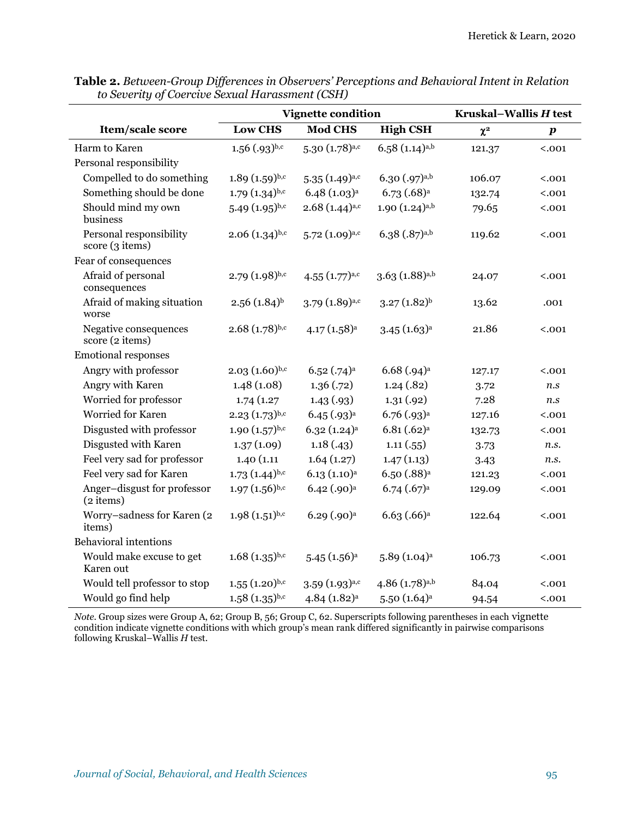|                                            | <b>Vignette condition</b>   |                           |                               | Kruskal-Wallis H test |                  |  |
|--------------------------------------------|-----------------------------|---------------------------|-------------------------------|-----------------------|------------------|--|
| Item/scale score                           | <b>Low CHS</b>              | <b>Mod CHS</b>            | <b>High CSH</b>               | $\chi^2$              | $\boldsymbol{p}$ |  |
| Harm to Karen                              | $1.56$ $(.93)$ b,c          | $5.30(1.78)^{a,c}$        | $6.58(1.14)^{a,b}$            | 121.37                | < .001           |  |
| Personal responsibility                    |                             |                           |                               |                       |                  |  |
| Compelled to do something                  | $1.89(1.59)^{b,c}$          | $5.35(1.49)^{a,c}$        | 6.30 (.97) <sup>a,b</sup>     | 106.07                | < .001           |  |
| Something should be done                   | $1.79(1.34)^{b,c}$          | $6.48(1.03)^{a}$          | $6.73$ $(.68)^a$              | 132.74                | < .001           |  |
| Should mind my own<br>business             | $5.49(1.95)^{b,c}$          | $2.68(1.44)^{a,c}$        | $1.90(1.24)^{a,b}$            | 79.65                 | < .001           |  |
| Personal responsibility<br>score (3 items) | $2.06(1.34)^{b,c}$          | $5.72(1.09)^{a,c}$        | $6.38$ $(.87)$ <sub>a,b</sub> | 119.62                | < .001           |  |
| Fear of consequences                       |                             |                           |                               |                       |                  |  |
| Afraid of personal<br>consequences         | $2.79(1.98)^{b,c}$          | $4.55 (1.77)^{a,c}$       | $3.63(1.88)^{a,b}$            | 24.07                 | < .001           |  |
| Afraid of making situation<br>worse        | $2.56(1.84)$ <sup>b</sup>   | $3.79(1.89)^{a,c}$        | $3.27(1.82)^{b}$              | 13.62                 | .001             |  |
| Negative consequences<br>score (2 items)   | $2.68(1.78)^{b,c}$          | $4.17(1.58)^a$            | $3.45(1.63)^{a}$              | 21.86                 | < .001           |  |
| <b>Emotional responses</b>                 |                             |                           |                               |                       |                  |  |
| Angry with professor                       | $2.03(1.60)^{b,c}$          | $6.52$ $(.74)^a$          | $6.68$ $(.94)^a$              | 127.17                | < .001           |  |
| Angry with Karen                           | 1.48(1.08)                  | 1.36(.72)                 | 1.24(0.82)                    | 3.72                  | $\it{n.s}$       |  |
| Worried for professor                      | 1.74(1.27)                  | 1.43(0.93)                | 1.31(0.92)                    | 7.28                  | n.s              |  |
| Worried for Karen                          | $2.23(1.73)^{b,c}$          | $6.45$ $(.93)^{a}$        | $6.76$ $(.93)^{a}$            | 127.16                | < .001           |  |
| Disgusted with professor                   | $1.90(1.57)^{b,c}$          | $6.32(1.24)^{a}$          | $6.81 (.62)^a$                | 132.73                | < .001           |  |
| Disgusted with Karen                       | 1.37(1.09)                  | 1.18(0.43)                | 1.11(.55)                     | 3.73                  | n.s.             |  |
| Feel very sad for professor                | 1.40(1.11)                  | 1.64(1.27)                | 1.47(1.13)                    | 3.43                  | n.s.             |  |
| Feel very sad for Karen                    | $1.73(1.44)^{b,c}$          | 6.13(1.10) <sup>a</sup>   | 6.50 (.88) <sup>a</sup>       | 121.23                | < .001           |  |
| Anger-disgust for professor<br>$(2$ items) | $1.97(1.56)^{b,c}$          | $6.42$ (.90) <sup>a</sup> | $6.74$ $(.67)^a$              | 129.09                | < .001           |  |
| Worry-sadness for Karen (2<br>items)       | $1.98(1.51)^{b,c}$          | $6.29$ $(.90)^{a}$        | $6.63$ $(.66)a$               | 122.64                | < .001           |  |
| <b>Behavioral intentions</b>               |                             |                           |                               |                       |                  |  |
| Would make excuse to get<br>Karen out      | $1.68(1.35)^{b,c}$          | $5.45(1.56)^a$            | 5.89(1.04) <sup>a</sup>       | 106.73                | < .001           |  |
| Would tell professor to stop               | $1.55(1.20)$ <sub>b,c</sub> | $3.59(1.93)^{a,c}$        | 4.86 $(1.78)$ <sub>a,b</sub>  | 84.04                 | < .001           |  |
| Would go find help                         | $1.58(1.35)^{b,c}$          | 4.84 (1.82) <sup>a</sup>  | $5.50(1.64)$ <sup>a</sup>     | 94.54                 | < .001           |  |

**Table 2.** *Between-Group Differences in Observers' Perceptions and Behavioral Intent in Relation to Severity of Coercive Sexual Harassment (CSH)*

*Note.* Group sizes were Group A, 62; Group B, 56; Group C, 62. Superscripts following parentheses in each vignette condition indicate vignette conditions with which group's mean rank differed significantly in pairwise comparisons following Kruskal–Wallis *H* test.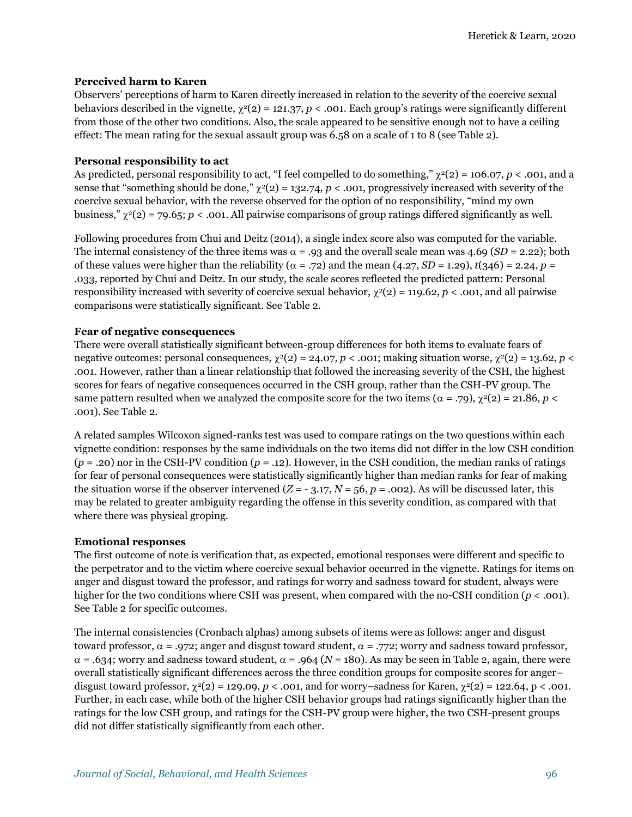#### **Perceived harm to Karen**

Observers' perceptions of harm to Karen directly increased in relation to the severity of the coercive sexual behaviors described in the vignette,  $\chi^2(2) = 121.37$ , *p* < .001. Each group's ratings were significantly different from those of the other two conditions. Also, the scale appeared to be sensitive enough not to have a ceiling effect: The mean rating for the sexual assault group was 6.58 on a scale of 1 to 8 (see Table 2).

#### **Personal responsibility to act**

As predicted, personal responsibility to act, "I feel compelled to do something,"  $\chi^2(2) = 106.07$ ,  $p < .001$ , and a sense that "something should be done,"  $\chi^2(2) = 132.74$ , *p* < .001, progressively increased with severity of the coercive sexual behavior, with the reverse observed for the option of no responsibility, "mind my own business,"  $\chi^2(2) = 79.65$ ; *p* < .001. All pairwise comparisons of group ratings differed significantly as well.

Following procedures from Chui and Deitz (2014), a single index score also was computed for the variable. The internal consistency of the three items was  $\alpha = .93$  and the overall scale mean was 4.69 (*SD* = 2.22); both of these values were higher than the reliability ( $\alpha$  = .72) and the mean (4.27, *SD* = 1.29), *t*(346) = 2.24, *p* = .033, reported by Chui and Deitz. In our study, the scale scores reflected the predicted pattern: Personal responsibility increased with severity of coercive sexual behavior,  $\chi^2(2) = 119.62$ ,  $p < .001$ , and all pairwise comparisons were statistically significant. See Table 2.

#### **Fear of negative consequences**

There were overall statistically significant between-group differences for both items to evaluate fears of negative outcomes: personal consequences,  $\chi^2(2) = 24.07$ ,  $p < .001$ ; making situation worse,  $\chi^2(2) = 13.62$ ,  $p <$ .001. However, rather than a linear relationship that followed the increasing severity of the CSH, the highest scores for fears of negative consequences occurred in the CSH group, rather than the CSH-PV group. The same pattern resulted when we analyzed the composite score for the two items ( $\alpha = .79$ ),  $\gamma^2(2) = 21.86$ ,  $p <$ .001). See Table 2.

A related samples Wilcoxon signed-ranks test was used to compare ratings on the two questions within each vignette condition: responses by the same individuals on the two items did not differ in the low CSH condition (*p* = .20) nor in the CSH-PV condition (*p* = .12). However, in the CSH condition, the median ranks of ratings for fear of personal consequences were statistically significantly higher than median ranks for fear of making the situation worse if the observer intervened  $(Z = -3.17, N = 56, p = .002)$ . As will be discussed later, this may be related to greater ambiguity regarding the offense in this severity condition, as compared with that where there was physical groping.

#### **Emotional responses**

The first outcome of note is verification that, as expected, emotional responses were different and specific to the perpetrator and to the victim where coercive sexual behavior occurred in the vignette. Ratings for items on anger and disgust toward the professor, and ratings for worry and sadness toward for student, always were higher for the two conditions where CSH was present, when compared with the no-CSH condition (*p* < .001). See Table 2 for specific outcomes.

The internal consistencies (Cronbach alphas) among subsets of items were as follows: anger and disgust toward professor,  $\alpha = .972$ ; anger and disgust toward student,  $\alpha = .772$ ; worry and sadness toward professor,  $\alpha$  = .634; worry and sadness toward student,  $\alpha$  = .964 (N = 180). As may be seen in Table 2, again, there were overall statistically significant differences across the three condition groups for composite scores for anger– disgust toward professor,  $\chi^2(2) = 129.09$ ,  $p < .001$ , and for worry–sadness for Karen,  $\chi^2(2) = 122.64$ ,  $p < .001$ . Further, in each case, while both of the higher CSH behavior groups had ratings significantly higher than the ratings for the low CSH group, and ratings for the CSH-PV group were higher, the two CSH-present groups did not differ statistically significantly from each other.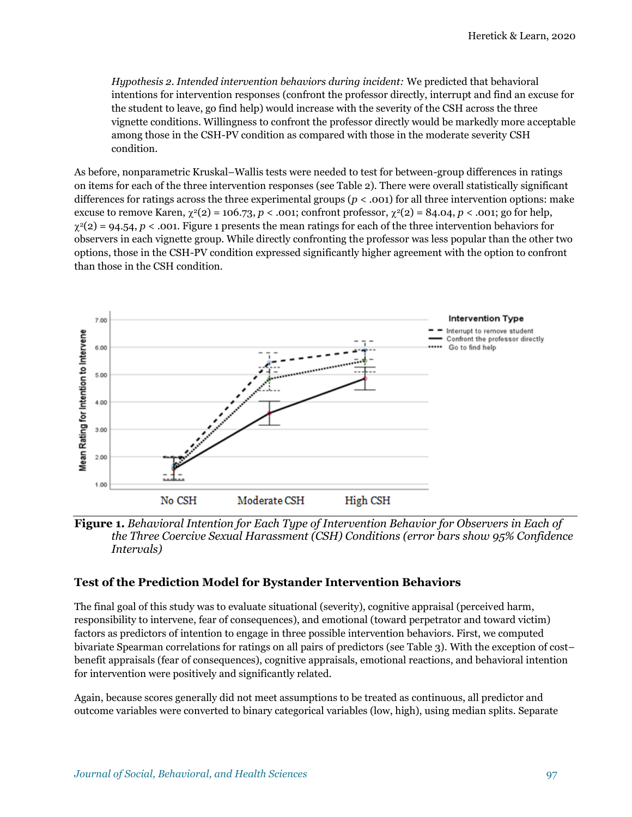*Hypothesis 2. Intended intervention behaviors during incident:* We predicted that behavioral intentions for intervention responses (confront the professor directly, interrupt and find an excuse for the student to leave, go find help) would increase with the severity of the CSH across the three vignette conditions. Willingness to confront the professor directly would be markedly more acceptable among those in the CSH-PV condition as compared with those in the moderate severity CSH condition.

As before, nonparametric Kruskal–Wallis tests were needed to test for between-group differences in ratings on items for each of the three intervention responses (see Table 2). There were overall statistically significant differences for ratings across the three experimental groups ( $p < .001$ ) for all three intervention options: make excuse to remove Karen,  $\chi^2(2) = 106.73$ ,  $p < .001$ ; confront professor,  $\chi^2(2) = 84.04$ ,  $p < .001$ ; go for help,  $\chi^2(2) = 94.54$ ,  $p < .001$ . Figure 1 presents the mean ratings for each of the three intervention behaviors for observers in each vignette group. While directly confronting the professor was less popular than the other two options, those in the CSH-PV condition expressed significantly higher agreement with the option to confront than those in the CSH condition.



**Figure 1.** *Behavioral Intention for Each Type of Intervention Behavior for Observers in Each of the Three Coercive Sexual Harassment (CSH) Conditions (error bars show 95% Confidence Intervals)* 

#### **Test of the Prediction Model for Bystander Intervention Behaviors**

The final goal of this study was to evaluate situational (severity), cognitive appraisal (perceived harm, responsibility to intervene, fear of consequences), and emotional (toward perpetrator and toward victim) factors as predictors of intention to engage in three possible intervention behaviors. First, we computed bivariate Spearman correlations for ratings on all pairs of predictors (see Table 3). With the exception of cost– benefit appraisals (fear of consequences), cognitive appraisals, emotional reactions, and behavioral intention for intervention were positively and significantly related.

Again, because scores generally did not meet assumptions to be treated as continuous, all predictor and outcome variables were converted to binary categorical variables (low, high), using median splits. Separate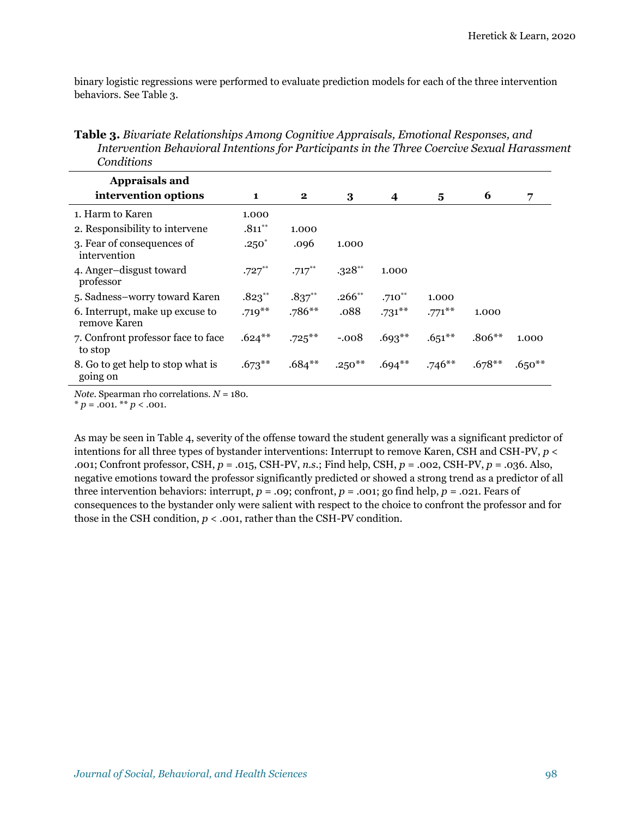binary logistic regressions were performed to evaluate prediction models for each of the three intervention behaviors. See Table 3.

**Table 3.** *Bivariate Relationships Among Cognitive Appraisals, Emotional Responses, and Intervention Behavioral Intentions for Participants in the Three Coercive Sexual Harassment Conditions* 

| <b>Appraisals and</b>                           |           |           |             |             |           |          |          |
|-------------------------------------------------|-----------|-----------|-------------|-------------|-----------|----------|----------|
| intervention options                            | 1         | $\bf{2}$  | 3           | 4           | 5         | 6        | 7        |
| 1. Harm to Karen                                | 1.000     |           |             |             |           |          |          |
| 2. Responsibility to intervene                  | $.811***$ | 1.000     |             |             |           |          |          |
| 3. Fear of consequences of<br>intervention      | $.250*$   | .096      | 1.000       |             |           |          |          |
| 4. Anger-disgust toward<br>professor            | $.727***$ | $.717***$ | $.328**$    | 1.000       |           |          |          |
| 5. Sadness-worry toward Karen                   | $.823***$ | $.837***$ | $.266^{**}$ | $.710^{**}$ | 1.000     |          |          |
| 6. Interrupt, make up excuse to<br>remove Karen | $.719***$ | $.786**$  | .088        | $.731***$   | $.771$ ** | 1.000    |          |
| 7. Confront professor face to face<br>to stop   | $.624***$ | $.725***$ | $-.008$     | $.693**$    | $.651***$ | $.806**$ | 1.000    |
| 8. Go to get help to stop what is<br>going on   | $.673**$  | $.684***$ | $.250***$   | $.694**$    | $.746**$  | $.678**$ | $.650**$ |

*Note.* Spearman rho correlations. *N* = 180.

 $*$  *p* = .001. \*\* *p* < .001.

As may be seen in Table 4, severity of the offense toward the student generally was a significant predictor of intentions for all three types of bystander interventions: Interrupt to remove Karen, CSH and CSH-PV, *p* < .001; Confront professor, CSH, *p* = .015, CSH-PV, *n.s.*; Find help, CSH, *p* = .002, CSH-PV, *p* = .036. Also, negative emotions toward the professor significantly predicted or showed a strong trend as a predictor of all three intervention behaviors: interrupt,  $p = .09$ ; confront,  $p = .001$ ; go find help,  $p = .021$ . Fears of consequences to the bystander only were salient with respect to the choice to confront the professor and for those in the CSH condition,  $p < .001$ , rather than the CSH-PV condition.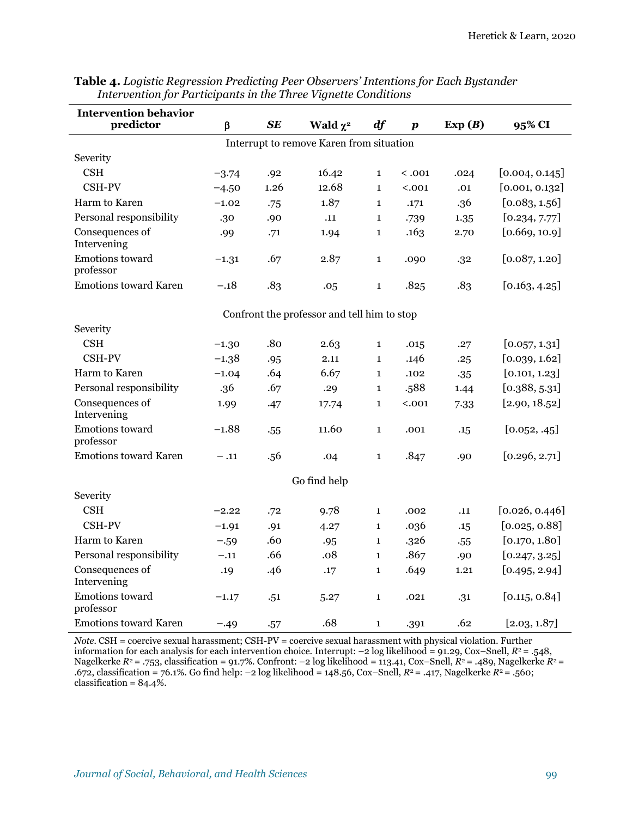| <b>Intervention behavior</b>             |         |      |                                             |              |                  |        |                |  |
|------------------------------------------|---------|------|---------------------------------------------|--------------|------------------|--------|----------------|--|
| predictor                                | $\beta$ | SE   | Wald $\chi^2$                               | df           | $\boldsymbol{p}$ | Exp(B) | 95% CI         |  |
| Interrupt to remove Karen from situation |         |      |                                             |              |                  |        |                |  |
| Severity                                 |         |      |                                             |              |                  |        |                |  |
| <b>CSH</b>                               | $-3.74$ | .92  | 16.42                                       | $\mathbf{1}$ | < .001           | .024   | [0.004, 0.145] |  |
| CSH-PV                                   | $-4.50$ | 1.26 | 12.68                                       | $\mathbf{1}$ | < .001           | .01    | [0.001, 0.132] |  |
| Harm to Karen                            | $-1.02$ | .75  | 1.87                                        | $\mathbf{1}$ | .171             | .36    | [0.083, 1.56]  |  |
| Personal responsibility                  | .30     | .90  | .11                                         | 1            | .739             | 1.35   | [0.234, 7.77]  |  |
| Consequences of<br>Intervening           | .99     | .71  | 1.94                                        | 1            | .163             | 2.70   | [0.669, 10.9]  |  |
| Emotions toward<br>professor             | $-1.31$ | .67  | 2.87                                        | $\mathbf{1}$ | .090             | .32    | [0.087, 1.20]  |  |
| <b>Emotions toward Karen</b>             | $-.18$  | .83  | .05                                         | 1            | .825             | .83    | [0.163, 4.25]  |  |
|                                          |         |      | Confront the professor and tell him to stop |              |                  |        |                |  |
| Severity                                 |         |      |                                             |              |                  |        |                |  |
| <b>CSH</b>                               | $-1.30$ | .80  | 2.63                                        | $\mathbf{1}$ | .015             | .27    | [0.057, 1.31]  |  |
| <b>CSH-PV</b>                            | $-1.38$ | .95  | 2.11                                        | $\mathbf{1}$ | .146             | .25    | [0.039, 1.62]  |  |
| <b>Harm to Karen</b>                     | $-1.04$ | .64  | 6.67                                        | $\mathbf{1}$ | .102             | .35    | [0.101, 1.23]  |  |
| Personal responsibility                  | .36     | .67  | .29                                         | 1            | .588             | 1.44   | [0.388, 5.31]  |  |
| Consequences of<br>Intervening           | 1.99    | .47  | 17.74                                       | 1            | < .001           | 7.33   | [2.90, 18.52]  |  |
| Emotions toward<br>professor             | $-1.88$ | .55  | 11.60                                       | $\mathbf{1}$ | .001             | .15    | [0.052, .45]   |  |
| <b>Emotions toward Karen</b>             | $-.11$  | .56  | .04                                         | $\mathbf{1}$ | .847             | .90    | [0.296, 2.71]  |  |
| Go find help                             |         |      |                                             |              |                  |        |                |  |
| Severity                                 |         |      |                                             |              |                  |        |                |  |
| <b>CSH</b>                               | $-2.22$ | .72  | 9.78                                        | $\mathbf{1}$ | .002             | .11    | [0.026, 0.446] |  |
| CSH-PV                                   | $-1.91$ | .91  | 4.27                                        | $\mathbf{1}$ | .036             | .15    | [0.025, 0.88]  |  |
| Harm to Karen                            | $-.59$  | .60  | .95                                         | $\mathbf{1}$ | .326             | .55    | [0.170, 1.80]  |  |
| Personal responsibility                  | $-.11$  | .66  | .08                                         | $\mathbf{1}$ | .867             | .90    | [0.247, 3.25]  |  |
| Consequences of<br>Intervening           | .19     | .46  | .17                                         | $\mathbf{1}$ | .649             | 1.21   | [0.495, 2.94]  |  |
| Emotions toward<br>professor             | $-1.17$ | .51  | 5.27                                        | $\mathbf{1}$ | .021             | .31    | [0.115, 0.84]  |  |
| <b>Emotions toward Karen</b>             | $-.49$  | .57  | .68                                         | $\mathbf{1}$ | .391             | .62    | [2.03, 1.87]   |  |

**Table 4.** *Logistic Regression Predicting Peer Observers' Intentions for Each Bystander Intervention for Participants in the Three Vignette Conditions* 

*Note.* CSH = coercive sexual harassment; CSH-PV = coercive sexual harassment with physical violation. Further information for each analysis for each intervention choice. Interrupt: –2 log likelihood = 91.29, Cox–Snell, *R*<sup>2</sup>= .548, Nagelkerke *R*<sup>2</sup>= .753, classification = 91.7%. Confront: –2 log likelihood = 113.41, Cox–Snell, *R*<sup>2</sup>= .489, Nagelkerke *R*<sup>2</sup>= .672, classification = 76.1%. Go find help: –2 log likelihood = 148.56, Cox–Snell, *R*<sup>2</sup>= .417, Nagelkerke *R*<sup>2</sup>= .560; classification =  $84.4\%$ .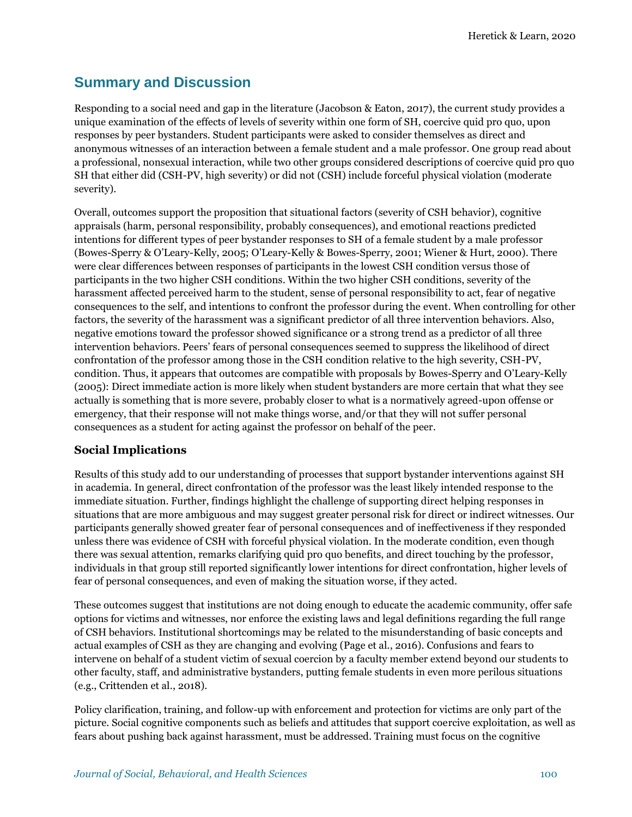# **Summary and Discussion**

Responding to a social need and gap in the literature (Jacobson & Eaton, 2017), the current study provides a unique examination of the effects of levels of severity within one form of SH, coercive quid pro quo, upon responses by peer bystanders. Student participants were asked to consider themselves as direct and anonymous witnesses of an interaction between a female student and a male professor. One group read about a professional, nonsexual interaction, while two other groups considered descriptions of coercive quid pro quo SH that either did (CSH-PV, high severity) or did not (CSH) include forceful physical violation (moderate severity).

Overall, outcomes support the proposition that situational factors (severity of CSH behavior), cognitive appraisals (harm, personal responsibility, probably consequences), and emotional reactions predicted intentions for different types of peer bystander responses to SH of a female student by a male professor (Bowes-Sperry & O'Leary-Kelly, 2005; O'Leary-Kelly & Bowes-Sperry, 2001; Wiener & Hurt, 2000). There were clear differences between responses of participants in the lowest CSH condition versus those of participants in the two higher CSH conditions. Within the two higher CSH conditions, severity of the harassment affected perceived harm to the student, sense of personal responsibility to act, fear of negative consequences to the self, and intentions to confront the professor during the event. When controlling for other factors, the severity of the harassment was a significant predictor of all three intervention behaviors. Also, negative emotions toward the professor showed significance or a strong trend as a predictor of all three intervention behaviors. Peers' fears of personal consequences seemed to suppress the likelihood of direct confrontation of the professor among those in the CSH condition relative to the high severity, CSH-PV, condition. Thus, it appears that outcomes are compatible with proposals by Bowes-Sperry and O'Leary-Kelly (2005): Direct immediate action is more likely when student bystanders are more certain that what they see actually is something that is more severe, probably closer to what is a normatively agreed-upon offense or emergency, that their response will not make things worse, and/or that they will not suffer personal consequences as a student for acting against the professor on behalf of the peer.

# **Social Implications**

Results of this study add to our understanding of processes that support bystander interventions against SH in academia. In general, direct confrontation of the professor was the least likely intended response to the immediate situation. Further, findings highlight the challenge of supporting direct helping responses in situations that are more ambiguous and may suggest greater personal risk for direct or indirect witnesses. Our participants generally showed greater fear of personal consequences and of ineffectiveness if they responded unless there was evidence of CSH with forceful physical violation. In the moderate condition, even though there was sexual attention, remarks clarifying quid pro quo benefits, and direct touching by the professor, individuals in that group still reported significantly lower intentions for direct confrontation, higher levels of fear of personal consequences, and even of making the situation worse, if they acted.

These outcomes suggest that institutions are not doing enough to educate the academic community, offer safe options for victims and witnesses, nor enforce the existing laws and legal definitions regarding the full range of CSH behaviors. Institutional shortcomings may be related to the misunderstanding of basic concepts and actual examples of CSH as they are changing and evolving (Page et al., 2016). Confusions and fears to intervene on behalf of a student victim of sexual coercion by a faculty member extend beyond our students to other faculty, staff, and administrative bystanders, putting female students in even more perilous situations (e.g., Crittenden et al., 2018).

Policy clarification, training, and follow-up with enforcement and protection for victims are only part of the picture. Social cognitive components such as beliefs and attitudes that support coercive exploitation, as well as fears about pushing back against harassment, must be addressed. Training must focus on the cognitive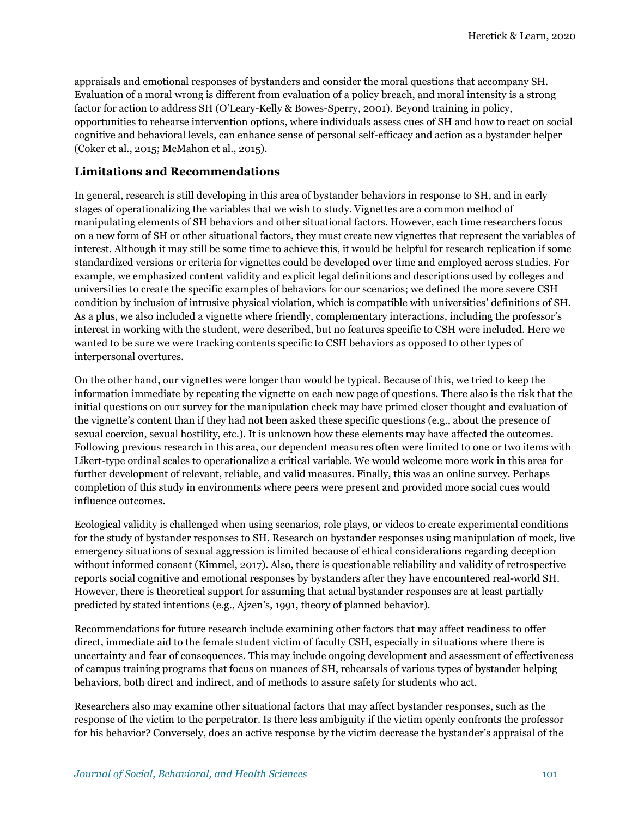appraisals and emotional responses of bystanders and consider the moral questions that accompany SH. Evaluation of a moral wrong is different from evaluation of a policy breach, and moral intensity is a strong factor for action to address SH (O'Leary-Kelly & Bowes-Sperry, 2001). Beyond training in policy, opportunities to rehearse intervention options, where individuals assess cues of SH and how to react on social cognitive and behavioral levels, can enhance sense of personal self-efficacy and action as a bystander helper (Coker et al., 2015; McMahon et al., 2015).

#### **Limitations and Recommendations**

In general, research is still developing in this area of bystander behaviors in response to SH, and in early stages of operationalizing the variables that we wish to study. Vignettes are a common method of manipulating elements of SH behaviors and other situational factors. However, each time researchers focus on a new form of SH or other situational factors, they must create new vignettes that represent the variables of interest. Although it may still be some time to achieve this, it would be helpful for research replication if some standardized versions or criteria for vignettes could be developed over time and employed across studies. For example, we emphasized content validity and explicit legal definitions and descriptions used by colleges and universities to create the specific examples of behaviors for our scenarios; we defined the more severe CSH condition by inclusion of intrusive physical violation, which is compatible with universities' definitions of SH. As a plus, we also included a vignette where friendly, complementary interactions, including the professor's interest in working with the student, were described, but no features specific to CSH were included. Here we wanted to be sure we were tracking contents specific to CSH behaviors as opposed to other types of interpersonal overtures.

On the other hand, our vignettes were longer than would be typical. Because of this, we tried to keep the information immediate by repeating the vignette on each new page of questions. There also is the risk that the initial questions on our survey for the manipulation check may have primed closer thought and evaluation of the vignette's content than if they had not been asked these specific questions (e.g., about the presence of sexual coercion, sexual hostility, etc.). It is unknown how these elements may have affected the outcomes. Following previous research in this area, our dependent measures often were limited to one or two items with Likert-type ordinal scales to operationalize a critical variable. We would welcome more work in this area for further development of relevant, reliable, and valid measures. Finally, this was an online survey. Perhaps completion of this study in environments where peers were present and provided more social cues would influence outcomes.

Ecological validity is challenged when using scenarios, role plays, or videos to create experimental conditions for the study of bystander responses to SH. Research on bystander responses using manipulation of mock, live emergency situations of sexual aggression is limited because of ethical considerations regarding deception without informed consent (Kimmel, 2017). Also, there is questionable reliability and validity of retrospective reports social cognitive and emotional responses by bystanders after they have encountered real-world SH. However, there is theoretical support for assuming that actual bystander responses are at least partially predicted by stated intentions (e.g., Ajzen's, 1991, theory of planned behavior).

Recommendations for future research include examining other factors that may affect readiness to offer direct, immediate aid to the female student victim of faculty CSH, especially in situations where there is uncertainty and fear of consequences. This may include ongoing development and assessment of effectiveness of campus training programs that focus on nuances of SH, rehearsals of various types of bystander helping behaviors, both direct and indirect, and of methods to assure safety for students who act.

Researchers also may examine other situational factors that may affect bystander responses, such as the response of the victim to the perpetrator. Is there less ambiguity if the victim openly confronts the professor for his behavior? Conversely, does an active response by the victim decrease the bystander's appraisal of the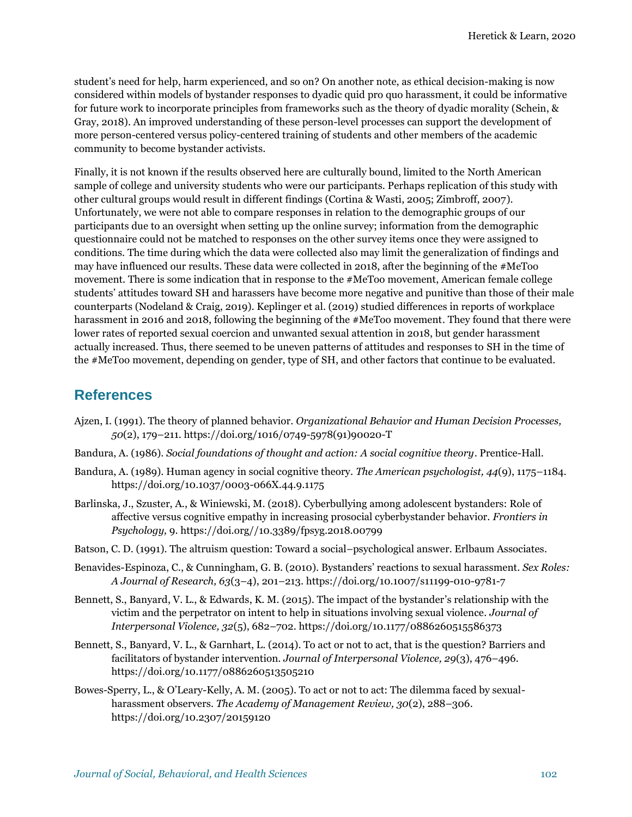student's need for help, harm experienced, and so on? On another note, as ethical decision-making is now considered within models of bystander responses to dyadic quid pro quo harassment, it could be informative for future work to incorporate principles from frameworks such as the theory of dyadic morality (Schein, & Gray, 2018). An improved understanding of these person-level processes can support the development of more person-centered versus policy-centered training of students and other members of the academic community to become bystander activists.

Finally, it is not known if the results observed here are culturally bound, limited to the North American sample of college and university students who were our participants. Perhaps replication of this study with other cultural groups would result in different findings (Cortina & Wasti, 2005; Zimbroff, 2007). Unfortunately, we were not able to compare responses in relation to the demographic groups of our participants due to an oversight when setting up the online survey; information from the demographic questionnaire could not be matched to responses on the other survey items once they were assigned to conditions. The time during which the data were collected also may limit the generalization of findings and may have influenced our results. These data were collected in 2018, after the beginning of the #MeToo movement. There is some indication that in response to the #MeToo movement, American female college students' attitudes toward SH and harassers have become more negative and punitive than those of their male counterparts (Nodeland & Craig, 2019). Keplinger et al. (2019) studied differences in reports of workplace harassment in 2016 and 2018, following the beginning of the #MeToo movement. They found that there were lower rates of reported sexual coercion and unwanted sexual attention in 2018, but gender harassment actually increased. Thus, there seemed to be uneven patterns of attitudes and responses to SH in the time of the #MeToo movement, depending on gender, type of SH, and other factors that continue to be evaluated.

# **References**

- Ajzen, I. (1991). The theory of planned behavior. *Organizational Behavior and Human Decision Processes, 50*(2), 179–211. [https://doi.org/1016/0749-5978\(91\)90020-T](about:blank)
- Bandura, A. (1986). *Social foundations of thought and action: A social cognitive theory*. Prentice-Hall.
- Bandura, A. (1989). Human agency in social cognitive theory. *The American psychologist, 44*(9), 1175–1184. [https://doi.org/10.1037/0003-066X.44.9.1175](about:blank)
- Barlinska, J., Szuster, A., & Winiewski, M. (2018). Cyberbullying among adolescent bystanders: Role of affective versus cognitive empathy in increasing prosocial cyberbystander behavior. *Frontiers in Psychology,* 9. https://doi.org[//10.3389/fpsyg.2018.00799](about:blank)
- Batson, C. D. (1991). The altruism question: Toward a social–psychological answer. Erlbaum Associates.
- Benavides-Espinoza, C., & Cunningham, G. B. (2010). Bystanders' reactions to sexual harassment. *Sex Roles: A Journal of Research, 63*(3–4), 201–213[. https://doi.org/10.1007/s11199-010-9781-7](about:blank)
- Bennett, S., Banyard, V. L., & Edwards, K. M. (2015). The impact of the bystander's relationship with the victim and the perpetrator on intent to help in situations involving sexual violence. *Journal of Interpersonal Violence, 32*(5), 682–702[. https://doi.org/10.1177/0886260515586373](about:blank)
- Bennett, S., Banyard, V. L., & Garnhart, L. (2014). To act or not to act, that is the question? Barriers and facilitators of bystander intervention. *Journal of Interpersonal Violence, 29*(3), 476–496. [https://doi.org/10.1177/0886260513505210](about:blank)
- Bowes-Sperry, L., & O'Leary-Kelly, A. M. (2005). To act or not to act: The dilemma faced by sexualharassment observers. *The Academy of Management Review, 30*(2), 288–306. [https://doi.org/10.2307/20159120](about:blank)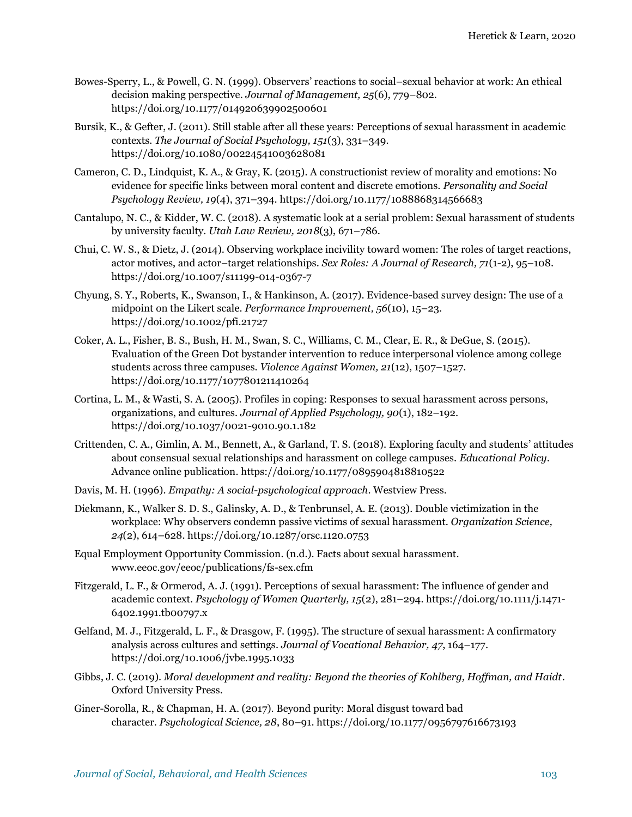- Bowes-Sperry, L., & Powell, G. N. (1999). Observers' reactions to social–sexual behavior at work: An ethical decision making perspective. *Journal of Management, 25*(6), 779–802. [https://doi.org/10.1177/014920639902500601](about:blank)
- Bursik, K., & Gefter, J. (2011). Still stable after all these years: Perceptions of sexual harassment in academic contexts. *The Journal of Social Psychology, 151*(3), 331–349. [https://doi.org/10.1080/00224541003628081](about:blank)
- Cameron, C. D., Lindquist, K. A., & Gray, K. (2015). A constructionist review of morality and emotions: No evidence for specific links between moral content and discrete emotions. *Personality and Social Psychology Review, 19*(4), 371–394. [https://doi.org/10.1177/1088868314566683](about:blank)
- Cantalupo, N. C., & Kidder, W. C. (2018). A systematic look at a serial problem: Sexual harassment of students by university faculty. *Utah Law Review, 2018*(3), 671–786.
- Chui, C. W. S., & Dietz, J. (2014). Observing workplace incivility toward women: The roles of target reactions, actor motives, and actor–target relationships. *Sex Roles: A Journal of Research, 71*(1-2), 95–108. [https://doi.org/10.1007/s11199-014-0367-7](about:blank)
- Chyung, S. Y., Roberts, K., Swanson, I., & Hankinson, A. (2017). Evidence-based survey design: The use of a midpoint on the Likert scale. *Performance Improvement, 56*(10), 15–23. [https://doi.org/10.1002/pfi.21727](about:blank)
- Coker, A. L., Fisher, B. S., Bush, H. M., Swan, S. C., Williams, C. M., Clear, E. R., & DeGue, S. (2015). Evaluation of the Green Dot bystander intervention to reduce interpersonal violence among college students across three campuses. *Violence Against Women, 21*(12), 1507–1527. [https://doi.org/10.1177/1077801211410264](about:blank)
- Cortina, L. M., & Wasti, S. A. (2005). Profiles in coping: Responses to sexual harassment across persons, organizations, and cultures. *Journal of Applied Psychology, 90*(1), 182–192. [https://doi.org/10.1037/0021-9010.90.1.182](about:blank)
- Crittenden, C. A., Gimlin, A. M., Bennett, A., & Garland, T. S. (2018). Exploring faculty and students' attitudes about consensual sexual relationships and harassment on college campuses. *Educational Policy*. Advance online publication[. https://doi.org/10.1177/0895904818810522](about:blank)
- Davis, M. H. (1996). *Empathy: A social-psychological approach*. Westview Press.
- Diekmann, K., Walker S. D. S., Galinsky, A. D., & Tenbrunsel, A. E. (2013). Double victimization in the workplace: Why observers condemn passive victims of sexual harassment. *Organization Science, 24*(2), 614–628. [https://doi.org/10.1287/orsc.1120.0753](about:blank)
- Equal Employment Opportunity Commission. (n.d.). Facts about sexual harassment. [www.eeoc.gov/eeoc/publications/fs-sex.cfm](about:blank)
- Fitzgerald, L. F., & Ormerod, A. J. (1991). Perceptions of sexual harassment: The influence of gender and academic context. *Psychology of Women Quarterly, 15*(2), 281–294. [https://doi.org/10.1111/j.1471-](about:blank) [6402.1991.tb00797.x](about:blank)
- Gelfand, M. J., Fitzgerald, L. F., & Drasgow, F. (1995). The structure of sexual harassment: A confirmatory analysis across cultures and settings. *Journal of Vocational Behavior, 47*, 164–177. [https://doi.org/10.1006/jvbe.1995.1033](about:blank)
- Gibbs, J. C. (2019). *Moral development and reality: Beyond the theories of Kohlberg, Hoffman, and Haidt*. Oxford University Press.
- Giner-Sorolla, R., & Chapman, H. A. (2017). Beyond purity: Moral disgust toward bad character. *Psychological Science, 28*, 80–91. [https://doi.org/10.1177/0956797616673193](about:blank)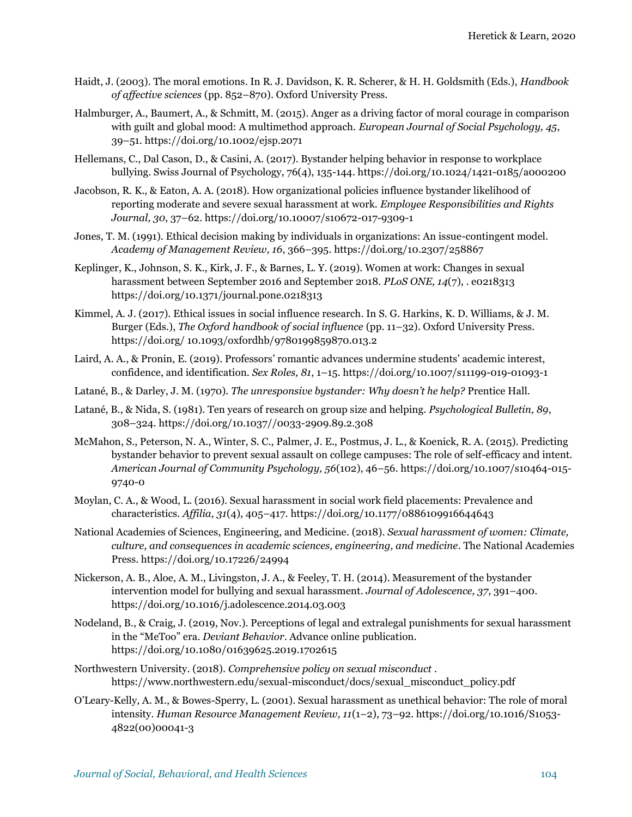- Haidt, J. (2003). The moral emotions. In R. J. Davidson, K. R. Scherer, & H. H. Goldsmith (Eds.), *Handbook of affective sciences* (pp. 852–870). Oxford University Press.
- Halmburger, A., Baumert, A., & Schmitt, M. (2015). Anger as a driving factor of moral courage in comparison with guilt and global mood: A multimethod approach. *European Journal of Social Psychology, 45*, 39–51. [https://doi.org/10.1002/ejsp.2071](about:blank)
- Hellemans, C., Dal Cason, D., & Casini, A. (2017). Bystander helping behavior in response to workplace bullying. Swiss Journal of Psychology, 76(4), 135-144[. https://doi.org/10.1024/1421-0185/a000200](about:blank)
- Jacobson, R. K., & Eaton, A. A. (2018). How organizational policies influence bystander likelihood of reporting moderate and severe sexual harassment at work. *Employee Responsibilities and Rights Journal, 30*, 37–62[. https://doi.org/10.10007/s10672-017-9309-1](about:blank)
- Jones, T. M. (1991). Ethical decision making by individuals in organizations: An issue-contingent model. *Academy of Management Review, 16*, 366–395[. https://doi.org/10.2307/258867](about:blank)
- Keplinger, K., Johnson, S. K., Kirk, J. F., & Barnes, L. Y. (2019). Women at work: Changes in sexual harassment between September 2016 and September 2018. *PLoS ONE, 14*(7), . e0218313 [https://doi.org/10.1371/journal.pone.0218313](about:blank)
- Kimmel, A. J. (2017). Ethical issues in social influence research. In S. G. Harkins, K. D. Williams, & J. M. Burger (Eds.), *The Oxford handbook of social influence* (pp. 11–32). Oxford University Press. https://doi.org/ 10.1093/oxfordhb/9780199859870.013.2
- Laird, A. A., & Pronin, E. (2019). Professors' romantic advances undermine students' academic interest, confidence, and identification. *Sex Roles, 81*, 1–15. [https://doi.org/10.1007/s11199-019-01093-1](about:blank)
- Latané, B., & Darley, J. M. (1970). *The unresponsive bystander: Why doesn't he help?* Prentice Hall.
- Latané, B., & Nida, S. (1981). Ten years of research on group size and helping. *Psychological Bulletin, 89*, 308–324. [https://doi.org/10.1037//0033-2909.89.2.308](about:blank)
- McMahon, S., Peterson, N. A., Winter, S. C., Palmer, J. E., Postmus, J. L., & Koenick, R. A. (2015). Predicting bystander behavior to prevent sexual assault on college campuses: The role of self-efficacy and intent. *American Journal of Community Psychology, 56*(102), 46–56. [https://doi.org/10.1007/s10464-015-](about:blank) [9740-0](about:blank)
- Moylan, C. A., & Wood, L. (2016). Sexual harassment in social work field placements: Prevalence and characteristics. *Affilia, 31*(4), 405–417[. https://doi.org/10.1177/0886109916644643](about:blank)
- National Academies of Sciences, Engineering, and Medicine. (2018). *Sexual harassment of women: Climate, culture, and consequences in academic sciences, engineering, and medicine*. The National Academies Press. [https://doi.org/10.17226/24994](about:blank)
- Nickerson, A. B., Aloe, A. M., Livingston, J. A., & Feeley, T. H. (2014). Measurement of the bystander intervention model for bullying and sexual harassment. *Journal of Adolescence, 37*, 391–400. [https://doi.org/10.1016/j.adolescence.2014.03.003](about:blank)
- Nodeland, B., & Craig, J. (2019, Nov.). Perceptions of legal and extralegal punishments for sexual harassment in the "MeToo" era. *Deviant Behavior*. Advance online publication. https://doi.org/10.1080/01639625.2019.1702615
- Northwestern University. (2018). *Comprehensive policy on sexual misconduct* [.](about:blank)  [https://www.northwestern.edu/sexual-misconduct/docs/sexual\\_misconduct\\_policy.pdf](about:blank)
- O'Leary-Kelly, A. M., & Bowes-Sperry, L. (2001). Sexual harassment as unethical behavior: The role of moral intensity. *Human Resource Management Review, 11*(1–2), 73–92. [https://doi.org/10.1016/S1053-](about:blank) [4822\(00\)00041-3](about:blank)